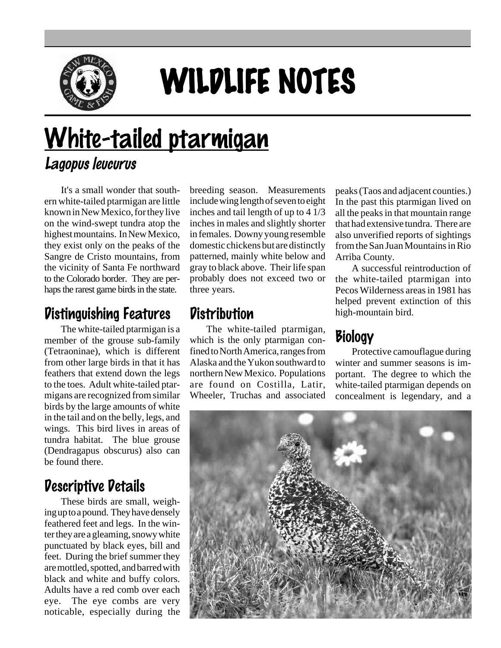

# WILDLIFE NOTES

## White-tailed ptarmigan Lagopus leucurus

It's a small wonder that southern white-tailed ptarmigan are little known in New Mexico, for they live on the wind-swept tundra atop the highest mountains. In New Mexico, they exist only on the peaks of the Sangre de Cristo mountains, from the vicinity of Santa Fe northward to the Colorado border. They are perhaps the rarest game birds in the state.

#### Distinguishing Features

The white-tailed ptarmigan is a member of the grouse sub-family (Tetraoninae), which is different from other large birds in that it has feathers that extend down the legs to the toes. Adult white-tailed ptarmigans are recognized from similar birds by the large amounts of white in the tail and on the belly, legs, and wings. This bird lives in areas of tundra habitat. The blue grouse (Dendragapus obscurus) also can be found there.

#### Descriptive Details

These birds are small, weighing up to a pound. They have densely feathered feet and legs. In the winter they are a gleaming, snowy white punctuated by black eyes, bill and feet. During the brief summer they are mottled, spotted, and barred with black and white and buffy colors. Adults have a red comb over each eye. The eye combs are very noticable, especially during the

breeding season. Measurements include wing length of seven to eight inches and tail length of up to 4 1/3 inches in males and slightly shorter in females. Downy young resemble domestic chickens but are distinctly patterned, mainly white below and gray to black above. Their life span probably does not exceed two or three years.

#### **Distribution**

The white-tailed ptarmigan, which is the only ptarmigan confined to North America, ranges from Alaska and the Yukon southward to northern New Mexico. Populations are found on Costilla, Latir, Wheeler, Truchas and associated peaks (Taos and adjacent counties.) In the past this ptarmigan lived on all the peaks in that mountain range that had extensive tundra. There are also unverified reports of sightings from the San Juan Mountains in Rio Arriba County.

A successful reintroduction of the white-tailed ptarmigan into Pecos Wilderness areas in 1981 has helped prevent extinction of this high-mountain bird.

### **Biology**

Protective camouflague during winter and summer seasons is important. The degree to which the white-tailed ptarmigan depends on concealment is legendary, and a